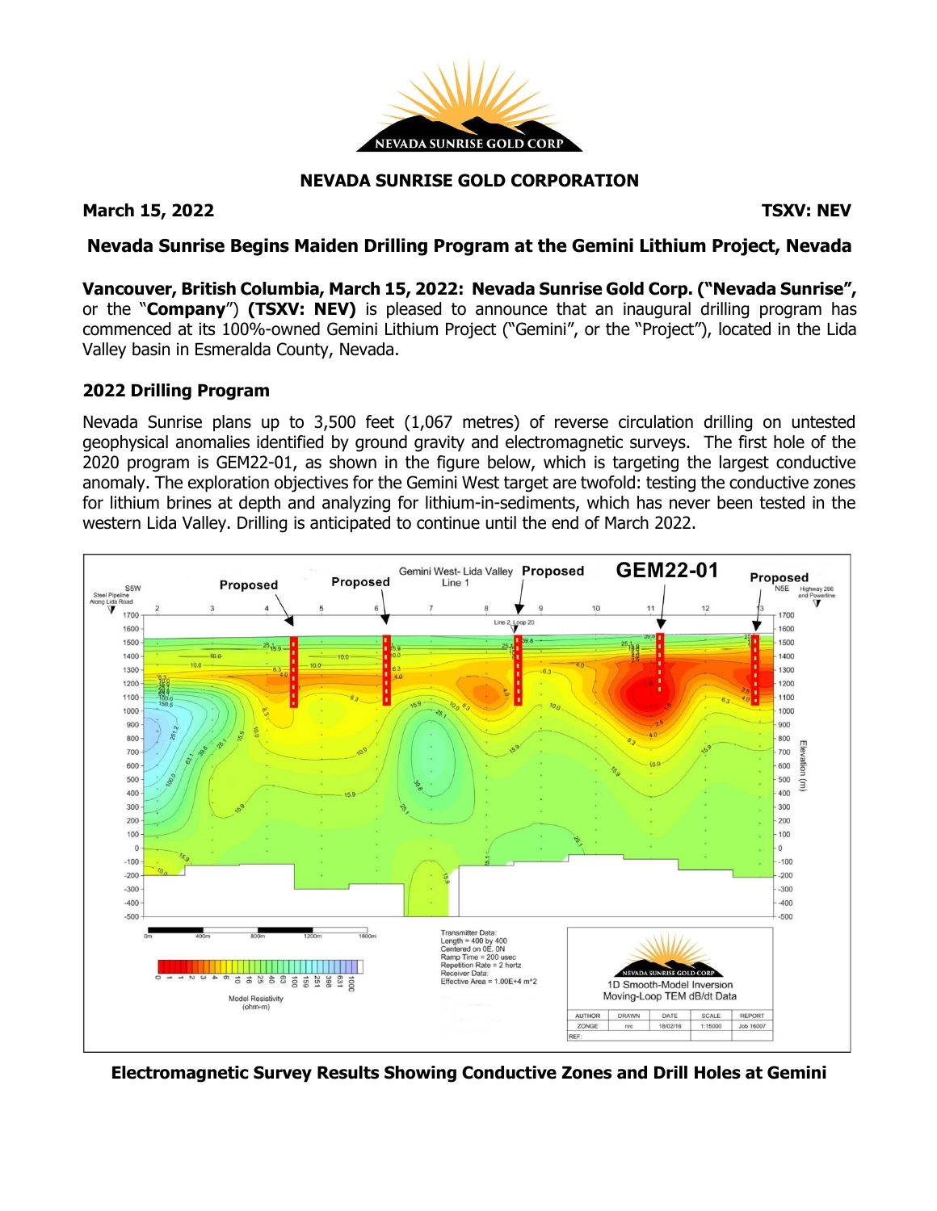

# **NEVADA SUNRISE GOLD CORPORATION**

### **March 15, 2022 TSXV: NEV**

## **Nevada Sunrise Begins Maiden Drilling Program at the Gemini Lithium Project, Nevada**

**Vancouver, British Columbia, March 15, 2022: Nevada Sunrise Gold Corp. ("Nevada Sunrise",** or the "**Company**") **(TSXV: NEV)** is pleased to announce that an inaugural drilling program has commenced at its 100%-owned Gemini Lithium Project ("Gemini", or the "Project"), located in the Lida Valley basin in Esmeralda County, Nevada.

#### **2022 Drilling Program**

Nevada Sunrise plans up to 3,500 feet (1,067 metres) of reverse circulation drilling on untested geophysical anomalies identified by ground gravity and electromagnetic surveys. The first hole of the 2020 program is GEM22-01, as shown in the figure below, which is targeting the largest conductive anomaly. The exploration objectives for the Gemini West target are twofold: testing the conductive zones for lithium brines at depth and analyzing for lithium-in-sediments, which has never been tested in the western Lida Valley. Drilling is anticipated to continue until the end of March 2022.



**Electromagnetic Survey Results Showing Conductive Zones and Drill Holes at Gemini**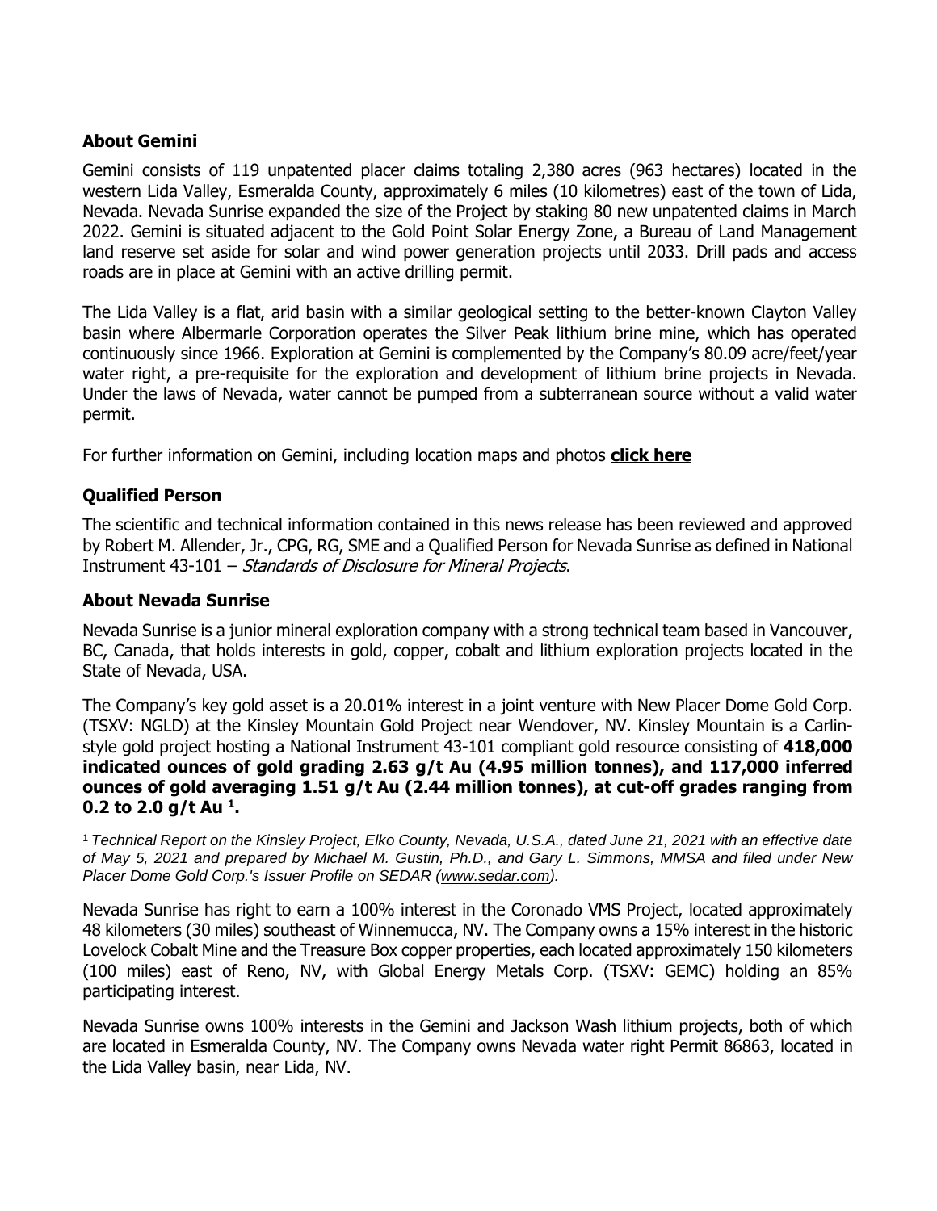## **About Gemini**

Gemini consists of 119 unpatented placer claims totaling 2,380 acres (963 hectares) located in the western Lida Valley, Esmeralda County, approximately 6 miles (10 kilometres) east of the town of Lida, Nevada. Nevada Sunrise expanded the size of the Project by staking 80 new unpatented claims in March 2022. Gemini is situated adjacent to the Gold Point Solar Energy Zone, a Bureau of Land Management land reserve set aside for solar and wind power generation projects until 2033. Drill pads and access roads are in place at Gemini with an active drilling permit.

The Lida Valley is a flat, arid basin with a similar geological setting to the better-known Clayton Valley basin where Albermarle Corporation operates the Silver Peak lithium brine mine, which has operated continuously since 1966. Exploration at Gemini is complemented by the Company's 80.09 acre/feet/year water right, a pre-requisite for the exploration and development of lithium brine projects in Nevada. Under the laws of Nevada, water cannot be pumped from a subterranean source without a valid water permit.

For further information on Gemini, including location maps and photos **click [here](https://www.nevadasunrise.ca/projects/nevadalithium/)**

### **Qualified Person**

The scientific and technical information contained in this news release has been reviewed and approved by Robert M. Allender, Jr., CPG, RG, SME and a Qualified Person for Nevada Sunrise as defined in National Instrument 43-101 – Standards of Disclosure for Mineral Projects.

#### **About Nevada Sunrise**

Nevada Sunrise is a junior mineral exploration company with a strong technical team based in Vancouver, BC, Canada, that holds interests in gold, copper, cobalt and lithium exploration projects located in the State of Nevada, USA.

The Company's key gold asset is a 20.01% interest in a joint venture with New Placer Dome Gold Corp. (TSXV: NGLD) at the Kinsley Mountain Gold Project near Wendover, NV. Kinsley Mountain is a Carlinstyle gold project hosting a National Instrument 43-101 compliant gold resource consisting of **418,000 indicated ounces of gold grading 2.63 g/t Au (4.95 million tonnes), and 117,000 inferred ounces of gold averaging 1.51 g/t Au (2.44 million tonnes), at cut-off grades ranging from 0.2 to 2.0 g/t Au <sup>1</sup> .**

<sup>1</sup> Technical Report on the Kinsley Project, Elko County, Nevada, U.S.A., dated June 21, 2021 with an effective date of May 5, 2021 and prepared by Michael M. Gustin, Ph.D., and Gary L. Simmons, MMSA and filed under New *Placer Dome Gold Corp.'s Issuer Profile on SEDAR [\(www.sedar.com\)](https://c212.net/c/link/?t=0&l=en&o=3232825-1&h=4288497972&u=http%3A%2F%2Fwww.sedar.com%2F&a=www.sedar.com).*

Nevada Sunrise has right to earn a 100% interest in the Coronado VMS Project, located approximately 48 kilometers (30 miles) southeast of Winnemucca, NV. The Company owns a 15% interest in the historic Lovelock Cobalt Mine and the Treasure Box copper properties, each located approximately 150 kilometers (100 miles) east of Reno, NV, with Global Energy Metals Corp. (TSXV: GEMC) holding an 85% participating interest.

Nevada Sunrise owns 100% interests in the Gemini and Jackson Wash lithium projects, both of which are located in Esmeralda County, NV. The Company owns Nevada water right Permit 86863, located in the Lida Valley basin, near Lida, NV.